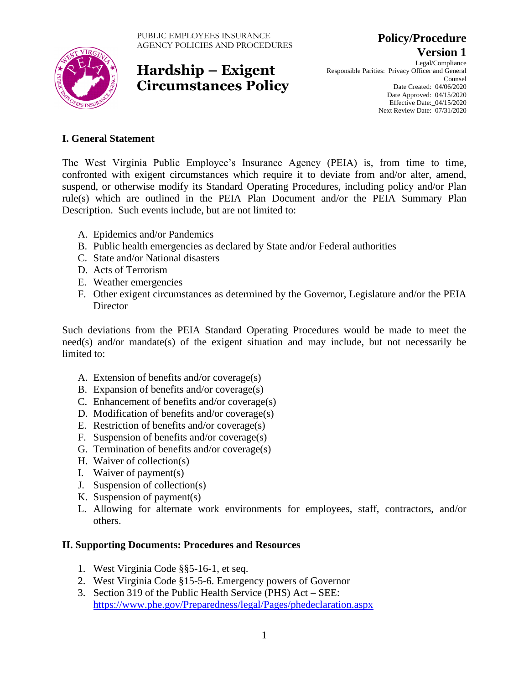

**Version 1** Legal/Compliance Responsible Parities: Privacy Officer and General Counsel Date Created: 04/06/2020 Date Approved: 04/15/2020 Effective Date:\_04/15/2020 Next Review Date: 07/31/2020

**Policy/Procedure**

### **I. General Statement**

The West Virginia Public Employee's Insurance Agency (PEIA) is, from time to time, confronted with exigent circumstances which require it to deviate from and/or alter, amend, suspend, or otherwise modify its Standard Operating Procedures, including policy and/or Plan rule(s) which are outlined in the PEIA Plan Document and/or the PEIA Summary Plan Description. Such events include, but are not limited to:

- A. Epidemics and/or Pandemics
- B. Public health emergencies as declared by State and/or Federal authorities
- C. State and/or National disasters
- D. Acts of Terrorism
- E. Weather emergencies
- F. Other exigent circumstances as determined by the Governor, Legislature and/or the PEIA **Director**

Such deviations from the PEIA Standard Operating Procedures would be made to meet the need(s) and/or mandate(s) of the exigent situation and may include, but not necessarily be limited to:

- A. Extension of benefits and/or coverage(s)
- B. Expansion of benefits and/or coverage(s)
- C. Enhancement of benefits and/or coverage(s)
- D. Modification of benefits and/or coverage(s)
- E. Restriction of benefits and/or coverage(s)
- F. Suspension of benefits and/or coverage(s)
- G. Termination of benefits and/or coverage(s)
- H. Waiver of collection(s)
- I. Waiver of payment(s)
- J. Suspension of collection(s)
- K. Suspension of payment(s)
- L. Allowing for alternate work environments for employees, staff, contractors, and/or others.

### **II. Supporting Documents: Procedures and Resources**

- 1. West Virginia Code §§5-16-1, et seq.
- 2. West Virginia Code §15-5-6. Emergency powers of Governor
- 3. Section 319 of the Public Health Service (PHS) Act SEE: <https://www.phe.gov/Preparedness/legal/Pages/phedeclaration.aspx>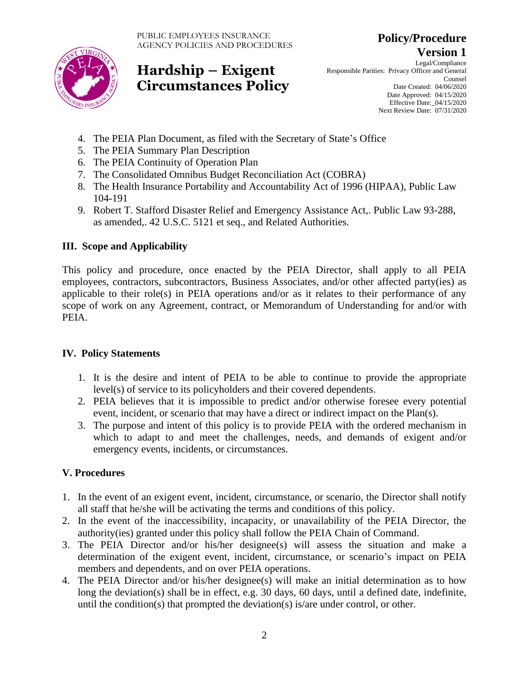

**Version 1** Legal/Compliance Responsible Parities: Privacy Officer and General Counsel Date Created: 04/06/2020 Date Approved: 04/15/2020 Effective Date:\_04/15/2020 Next Review Date: 07/31/2020

**Policy/Procedure**

- 4. The PEIA Plan Document, as filed with the Secretary of State's Office
- 5. The PEIA Summary Plan Description
- 6. The PEIA Continuity of Operation Plan
- 7. The Consolidated Omnibus Budget Reconciliation Act (COBRA)
- 8. The Health Insurance Portability and Accountability Act of 1996 (HIPAA), Public Law 104-191
- 9. Robert T. Stafford Disaster Relief and Emergency Assistance Act,. Public Law 93-288, as amended,. 42 U.S.C. 5121 et seq., and Related Authorities.

#### **III. Scope and Applicability**

This policy and procedure, once enacted by the PEIA Director, shall apply to all PEIA employees, contractors, subcontractors, Business Associates, and/or other affected party(ies) as applicable to their role(s) in PEIA operations and/or as it relates to their performance of any scope of work on any Agreement, contract, or Memorandum of Understanding for and/or with PEIA.

#### **IV. Policy Statements**

- 1. It is the desire and intent of PEIA to be able to continue to provide the appropriate level(s) of service to its policyholders and their covered dependents.
- 2. PEIA believes that it is impossible to predict and/or otherwise foresee every potential event, incident, or scenario that may have a direct or indirect impact on the Plan(s).
- 3. The purpose and intent of this policy is to provide PEIA with the ordered mechanism in which to adapt to and meet the challenges, needs, and demands of exigent and/or emergency events, incidents, or circumstances.

### **V. Procedures**

- 1. In the event of an exigent event, incident, circumstance, or scenario, the Director shall notify all staff that he/she will be activating the terms and conditions of this policy.
- 2. In the event of the inaccessibility, incapacity, or unavailability of the PEIA Director, the authority(ies) granted under this policy shall follow the PEIA Chain of Command.
- 3. The PEIA Director and/or his/her designee(s) will assess the situation and make a determination of the exigent event, incident, circumstance, or scenario's impact on PEIA members and dependents, and on over PEIA operations.
- 4. The PEIA Director and/or his/her designee(s) will make an initial determination as to how long the deviation(s) shall be in effect, e.g. 30 days, 60 days, until a defined date, indefinite, until the condition(s) that prompted the deviation(s) is/are under control, or other.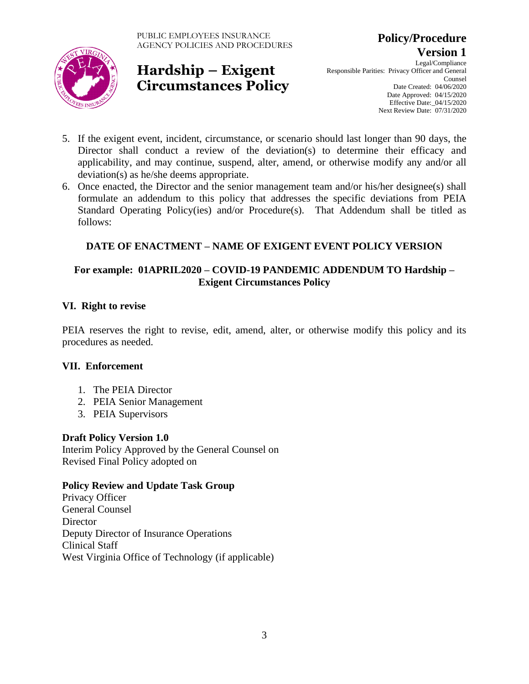

**Version 1** Legal/Compliance Responsible Parities: Privacy Officer and General Counsel Date Created: 04/06/2020 Date Approved: 04/15/2020 Effective Date:\_04/15/2020 Next Review Date: 07/31/2020

**Policy/Procedure**

- 5. If the exigent event, incident, circumstance, or scenario should last longer than 90 days, the Director shall conduct a review of the deviation(s) to determine their efficacy and applicability, and may continue, suspend, alter, amend, or otherwise modify any and/or all deviation(s) as he/she deems appropriate.
- 6. Once enacted, the Director and the senior management team and/or his/her designee(s) shall formulate an addendum to this policy that addresses the specific deviations from PEIA Standard Operating Policy(ies) and/or Procedure(s). That Addendum shall be titled as follows:

### **DATE OF ENACTMENT – NAME OF EXIGENT EVENT POLICY VERSION**

#### **For example: 01APRIL2020 – COVID-19 PANDEMIC ADDENDUM TO Hardship – Exigent Circumstances Policy**

#### **VI. Right to revise**

PEIA reserves the right to revise, edit, amend, alter, or otherwise modify this policy and its procedures as needed.

#### **VII. Enforcement**

- 1. The PEIA Director
- 2. PEIA Senior Management
- 3. PEIA Supervisors

### **Draft Policy Version 1.0**

Interim Policy Approved by the General Counsel on Revised Final Policy adopted on

#### **Policy Review and Update Task Group**

Privacy Officer General Counsel **Director** Deputy Director of Insurance Operations Clinical Staff West Virginia Office of Technology (if applicable)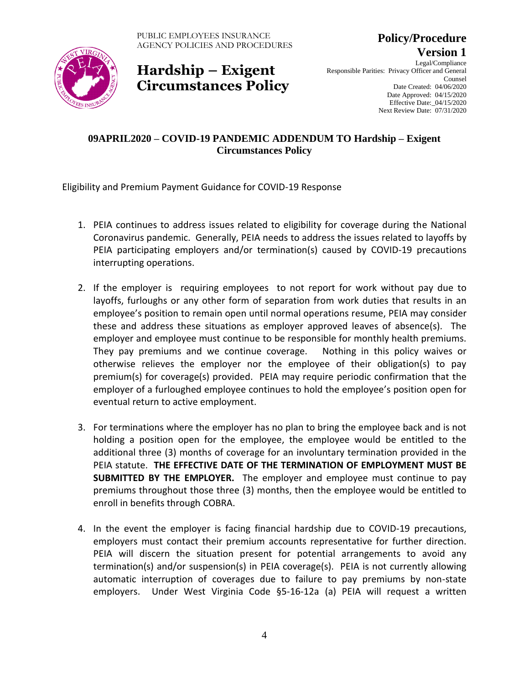

**Version 1** Legal/Compliance Responsible Parities: Privacy Officer and General Counsel Date Created: 04/06/2020 Date Approved: 04/15/2020 Effective Date:\_04/15/2020 Next Review Date: 07/31/2020

**Policy/Procedure**

### **09APRIL2020 – COVID-19 PANDEMIC ADDENDUM TO Hardship – Exigent Circumstances Policy**

Eligibility and Premium Payment Guidance for COVID-19 Response

- 1. PEIA continues to address issues related to eligibility for coverage during the National Coronavirus pandemic. Generally, PEIA needs to address the issues related to layoffs by PEIA participating employers and/or termination(s) caused by COVID-19 precautions interrupting operations.
- 2. If the employer is requiring employees to not report for work without pay due to layoffs, furloughs or any other form of separation from work duties that results in an employee's position to remain open until normal operations resume, PEIA may consider these and address these situations as employer approved leaves of absence(s). The employer and employee must continue to be responsible for monthly health premiums. They pay premiums and we continue coverage. Nothing in this policy waives or otherwise relieves the employer nor the employee of their obligation(s) to pay premium(s) for coverage(s) provided. PEIA may require periodic confirmation that the employer of a furloughed employee continues to hold the employee's position open for eventual return to active employment.
- 3. For terminations where the employer has no plan to bring the employee back and is not holding a position open for the employee, the employee would be entitled to the additional three (3) months of coverage for an involuntary termination provided in the PEIA statute. **THE EFFECTIVE DATE OF THE TERMINATION OF EMPLOYMENT MUST BE SUBMITTED BY THE EMPLOYER.** The employer and employee must continue to pay premiums throughout those three (3) months, then the employee would be entitled to enroll in benefits through COBRA.
- 4. In the event the employer is facing financial hardship due to COVID-19 precautions, employers must contact their premium accounts representative for further direction. PEIA will discern the situation present for potential arrangements to avoid any termination(s) and/or suspension(s) in PEIA coverage(s). PEIA is not currently allowing automatic interruption of coverages due to failure to pay premiums by non-state employers. Under West Virginia Code §5-16-12a (a) PEIA will request a written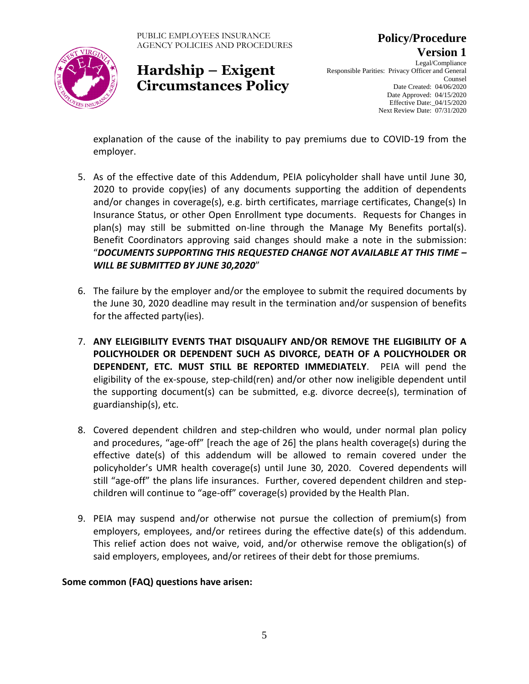

**Version 1** Legal/Compliance Responsible Parities: Privacy Officer and General Counsel Date Created: 04/06/2020 Date Approved: 04/15/2020 Effective Date:\_04/15/2020

**Policy/Procedure**

Next Review Date: 07/31/2020

explanation of the cause of the inability to pay premiums due to COVID-19 from the employer.

- 5. As of the effective date of this Addendum, PEIA policyholder shall have until June 30, 2020 to provide copy(ies) of any documents supporting the addition of dependents and/or changes in coverage(s), e.g. birth certificates, marriage certificates, Change(s) In Insurance Status, or other Open Enrollment type documents. Requests for Changes in plan(s) may still be submitted on-line through the Manage My Benefits portal(s). Benefit Coordinators approving said changes should make a note in the submission: "*DOCUMENTS SUPPORTING THIS REQUESTED CHANGE NOT AVAILABLE AT THIS TIME – WILL BE SUBMITTED BY JUNE 30,2020*"
- 6. The failure by the employer and/or the employee to submit the required documents by the June 30, 2020 deadline may result in the termination and/or suspension of benefits for the affected party(ies).
- 7. **ANY ELEIGIBILITY EVENTS THAT DISQUALIFY AND/OR REMOVE THE ELIGIBILITY OF A POLICYHOLDER OR DEPENDENT SUCH AS DIVORCE, DEATH OF A POLICYHOLDER OR DEPENDENT, ETC. MUST STILL BE REPORTED IMMEDIATELY**. PEIA will pend the eligibility of the ex-spouse, step-child(ren) and/or other now ineligible dependent until the supporting document(s) can be submitted, e.g. divorce decree(s), termination of guardianship(s), etc.
- 8. Covered dependent children and step-children who would, under normal plan policy and procedures, "age-off" [reach the age of 26] the plans health coverage(s) during the effective date(s) of this addendum will be allowed to remain covered under the policyholder's UMR health coverage(s) until June 30, 2020. Covered dependents will still "age-off" the plans life insurances. Further, covered dependent children and stepchildren will continue to "age-off" coverage(s) provided by the Health Plan.
- 9. PEIA may suspend and/or otherwise not pursue the collection of premium(s) from employers, employees, and/or retirees during the effective date(s) of this addendum. This relief action does not waive, void, and/or otherwise remove the obligation(s) of said employers, employees, and/or retirees of their debt for those premiums.

### **Some common (FAQ) questions have arisen:**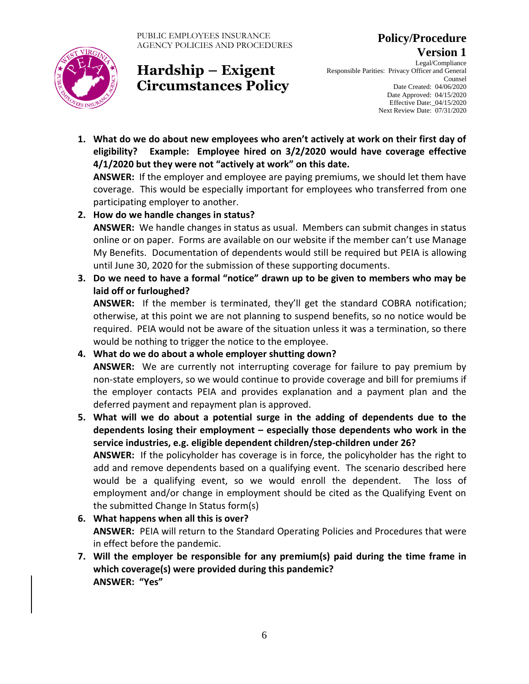

**Policy/Procedure Version 1**

Legal/Compliance Responsible Parities: Privacy Officer and General Counsel Date Created: 04/06/2020 Date Approved: 04/15/2020 Effective Date:\_04/15/2020 Next Review Date: 07/31/2020

**1. What do we do about new employees who aren't actively at work on their first day of eligibility? Example: Employee hired on 3/2/2020 would have coverage effective 4/1/2020 but they were not "actively at work" on this date.** 

**ANSWER:** If the employer and employee are paying premiums, we should let them have coverage. This would be especially important for employees who transferred from one participating employer to another.

- **2. How do we handle changes in status? ANSWER:** We handle changes in status as usual. Members can submit changes in status online or on paper. Forms are available on our website if the member can't use Manage My Benefits. Documentation of dependents would still be required but PEIA is allowing until June 30, 2020 for the submission of these supporting documents.
- **3. Do we need to have a formal "notice" drawn up to be given to members who may be laid off or furloughed?**

**ANSWER:** If the member is terminated, they'll get the standard COBRA notification; otherwise, at this point we are not planning to suspend benefits, so no notice would be required. PEIA would not be aware of the situation unless it was a termination, so there would be nothing to trigger the notice to the employee.

**4. What do we do about a whole employer shutting down?**

**ANSWER:** We are currently not interrupting coverage for failure to pay premium by non-state employers, so we would continue to provide coverage and bill for premiums if the employer contacts PEIA and provides explanation and a payment plan and the deferred payment and repayment plan is approved.

- **5. What will we do about a potential surge in the adding of dependents due to the dependents losing their employment – especially those dependents who work in the service industries, e.g. eligible dependent children/step-children under 26? ANSWER:** If the policyholder has coverage is in force, the policyholder has the right to add and remove dependents based on a qualifying event. The scenario described here would be a qualifying event, so we would enroll the dependent. The loss of employment and/or change in employment should be cited as the Qualifying Event on the submitted Change In Status form(s)
- **6. What happens when all this is over? ANSWER:** PEIA will return to the Standard Operating Policies and Procedures that were in effect before the pandemic.
- **7. Will the employer be responsible for any premium(s) paid during the time frame in which coverage(s) were provided during this pandemic? ANSWER: "Yes"**